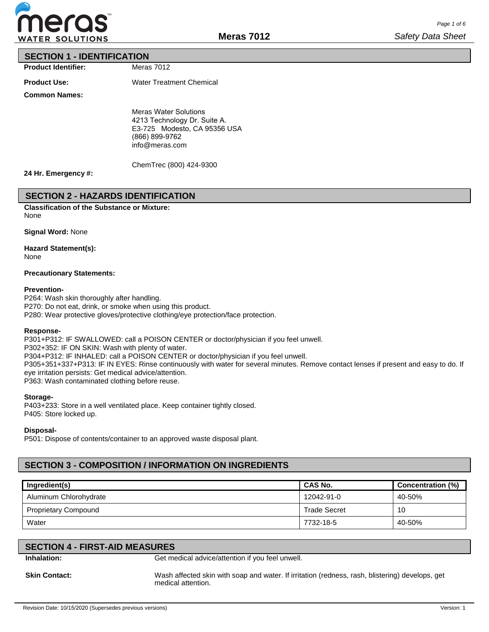

### **SECTION 1 - IDENTIFICATION**

**Product Identifier:**

Meras 7012

**Product Use:**

Water Treatment Chemical

**Common Names:**

Meras Water Solutions 4213 Technology Dr. Suite A. E3-725 Modesto, CA 95356 USA (866) 899-9762 info@meras.com

ChemTrec (800) 424-9300

#### **24 Hr. Emergency #:**

### **SECTION 2 - HAZARDS IDENTIFICATION**

**Classification of the Substance or Mixture:** None

**Signal Word:** None

### **Hazard Statement(s):**

None

#### **Precautionary Statements:**

#### **Prevention-**

P264: Wash skin thoroughly after handling. P270: Do not eat, drink, or smoke when using this product. P280: Wear protective gloves/protective clothing/eye protection/face protection.

#### **Response-**

P301+P312: IF SWALLOWED: call a POISON CENTER or doctor/physician if you feel unwell. P302+352: IF ON SKIN: Wash with plenty of water. P304+P312: IF INHALED: call a POISON CENTER or doctor/physician if you feel unwell. P305+351+337+P313: IF IN EYES: Rinse continuously with water for several minutes. Remove contact lenses if present and easy to do. If eye irritation persists: Get medical advice/attention. P363: Wash contaminated clothing before reuse.

#### **Storage-**

P403+233: Store in a well ventilated place. Keep container tightly closed. P405: Store locked up.

**Disposal-**

P501: Dispose of contents/container to an approved waste disposal plant.

## **SECTION 3 - COMPOSITION / INFORMATION ON INGREDIENTS**

| Ingredient(s)               | <b>CAS No.</b>      | Concentration (%) |
|-----------------------------|---------------------|-------------------|
| Aluminum Chlorohydrate      | 12042-91-0          | 40-50%            |
| <b>Proprietary Compound</b> | <b>Trade Secret</b> | 10                |
| Water                       | 7732-18-5           | 40-50%            |

## **SECTION 4 - FIRST-AID MEASURES**

**Inhalation:** Get medical advice/attention if you feel unwell.

**Skin Contact:** Wash affected skin with soap and water. If irritation (redness, rash, blistering) develops, get medical attention.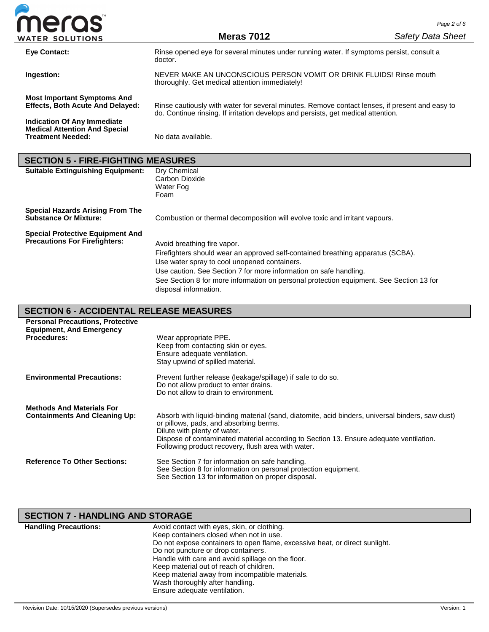

| Eye Contact:                                                                                           | Rinse opened eye for several minutes under running water. If symptoms persist, consult a<br>doctor.                                                                                 |
|--------------------------------------------------------------------------------------------------------|-------------------------------------------------------------------------------------------------------------------------------------------------------------------------------------|
| Ingestion:                                                                                             | NEVER MAKE AN UNCONSCIOUS PERSON VOMIT OR DRINK FLUIDS! Rinse mouth<br>thoroughly. Get medical attention immediately!                                                               |
| <b>Most Important Symptoms And</b><br><b>Effects, Both Acute And Delayed:</b>                          | Rinse cautiously with water for several minutes. Remove contact lenses, if present and easy to<br>do. Continue rinsing. If irritation develops and persists, get medical attention. |
| <b>Indication Of Any Immediate</b><br><b>Medical Attention And Special</b><br><b>Treatment Needed:</b> | No data available.                                                                                                                                                                  |

## **SECTION 5 - FIRE-FIGHTING MEASURES**

| <b>Suitable Extinguishing Equipment:</b>                                        | Dry Chemical<br>Carbon Dioxide<br>Water Fog<br>Foam                                                                                                                                                                                                                                                                                                     |
|---------------------------------------------------------------------------------|---------------------------------------------------------------------------------------------------------------------------------------------------------------------------------------------------------------------------------------------------------------------------------------------------------------------------------------------------------|
| <b>Special Hazards Arising From The</b><br><b>Substance Or Mixture:</b>         | Combustion or thermal decomposition will evolve toxic and irritant vapours.                                                                                                                                                                                                                                                                             |
| <b>Special Protective Equipment And</b><br><b>Precautions For Firefighters:</b> | Avoid breathing fire vapor.<br>Firefighters should wear an approved self-contained breathing apparatus (SCBA).<br>Use water spray to cool unopened containers.<br>Use caution. See Section 7 for more information on safe handling.<br>See Section 8 for more information on personal protection equipment. See Section 13 for<br>disposal information. |

## **SECTION 6 - ACCIDENTAL RELEASE MEASURES**

| <b>Personal Precautions, Protective</b><br><b>Equipment, And Emergency</b> |                                                                                                                                                                                                                                                                                                                            |
|----------------------------------------------------------------------------|----------------------------------------------------------------------------------------------------------------------------------------------------------------------------------------------------------------------------------------------------------------------------------------------------------------------------|
| <b>Procedures:</b>                                                         | Wear appropriate PPE.<br>Keep from contacting skin or eyes.<br>Ensure adequate ventilation.<br>Stay upwind of spilled material.                                                                                                                                                                                            |
| <b>Environmental Precautions:</b>                                          | Prevent further release (leakage/spillage) if safe to do so.<br>Do not allow product to enter drains.<br>Do not allow to drain to environment.                                                                                                                                                                             |
| <b>Methods And Materials For</b><br><b>Containments And Cleaning Up:</b>   | Absorb with liquid-binding material (sand, diatomite, acid binders, universal binders, saw dust)<br>or pillows, pads, and absorbing berms.<br>Dilute with plenty of water.<br>Dispose of contaminated material according to Section 13. Ensure adequate ventilation.<br>Following product recovery, flush area with water. |
| <b>Reference To Other Sections:</b>                                        | See Section 7 for information on safe handling.<br>See Section 8 for information on personal protection equipment.<br>See Section 13 for information on proper disposal.                                                                                                                                                   |

## **SECTION 7 - HANDLING AND STORAGE**

| <b>Handling Precautions:</b> | Avoid contact with eyes, skin, or clothing.                                 |
|------------------------------|-----------------------------------------------------------------------------|
|                              | Keep containers closed when not in use.                                     |
|                              | Do not expose containers to open flame, excessive heat, or direct sunlight. |
|                              | Do not puncture or drop containers.                                         |
|                              | Handle with care and avoid spillage on the floor.                           |
|                              | Keep material out of reach of children.                                     |
|                              | Keep material away from incompatible materials.                             |
|                              | Wash thoroughly after handling.                                             |
|                              | Ensure adequate ventilation.                                                |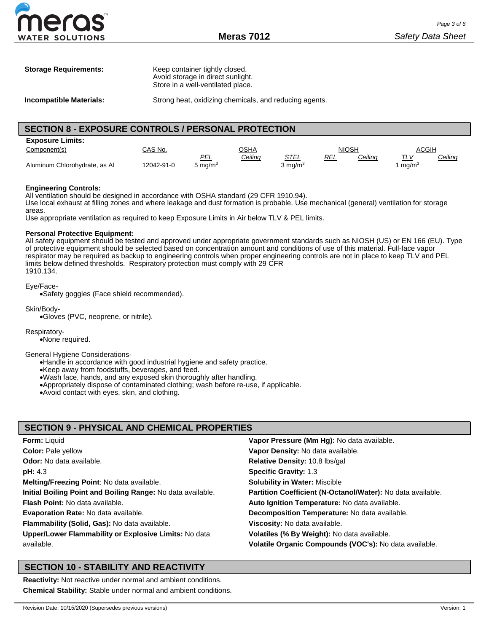| <b>Storage Requirements:</b> | Keep container tightly closed.<br>Avoid storage in direct sunlight. |
|------------------------------|---------------------------------------------------------------------|
|                              | Store in a well-ventilated place.                                   |

**Incompatible Materials:** Strong heat, oxidizing chemicals, and reducing agents.

### **SECTION 8 - EXPOSURE CONTROLS / PERSONAL PROTECTION**

| <b>Exposure Limits:</b>       |           |            |         |                    |            |         |                   |         |
|-------------------------------|-----------|------------|---------|--------------------|------------|---------|-------------------|---------|
| Component(s)                  | CAS No.   |            | OSHA    |                    | NIOSH      |         | ACGIH             |         |
|                               |           | PEL        | Ceiling | <u>STEL</u>        | <b>REL</b> | Ceiling | <u>TLV</u>        | Ceiling |
| Aluminum Chlorohydrate, as Al | 2042-91-0 | 5 mg/m $3$ |         | $3 \text{ mg/m}^3$ |            |         | mq/m <sup>3</sup> |         |

#### **Engineering Controls:**

All ventilation should be designed in accordance with OSHA standard (29 CFR 1910.94). Use local exhaust at filling zones and where leakage and dust formation is probable. Use mechanical (general) ventilation for storage areas.

Use appropriate ventilation as required to keep Exposure Limits in Air below TLV & PEL limits.

#### **Personal Protective Equipment:**

All safety equipment should be tested and approved under appropriate government standards such as NIOSH (US) or EN 166 (EU). Type of protective equipment should be selected based on concentration amount and conditions of use of this material. Full-face vapor respirator may be required as backup to engineering controls when proper engineering controls are not in place to keep TLV and PEL limits below defined thresholds. Respiratory protection must comply with 29 CFR 1910.134.

#### Eye/Face-

•Safety goggles (Face shield recommended).

Skin/Body-

•Gloves (PVC, neoprene, or nitrile).

#### Respiratory-

•None required.

#### General Hygiene Considerations-

•Handle in accordance with good industrial hygiene and safety practice.

•Keep away from foodstuffs, beverages, and feed.

•Wash face, hands, and any exposed skin thoroughly after handling.

- •Appropriately dispose of contaminated clothing; wash before re-use, if applicable.
- •Avoid contact with eyes, skin, and clothing.

### **SECTION 9 - PHYSICAL AND CHEMICAL PROPERTIES**

| <b>Form: Liquid</b>                                         | Vapor Pressure (Mm Hg): No data available.                  |
|-------------------------------------------------------------|-------------------------------------------------------------|
| <b>Color: Pale yellow</b>                                   | Vapor Density: No data available.                           |
| <b>Odor:</b> No data available.                             | Relative Density: 10.8 lbs/gal                              |
| pH: 4.3                                                     | <b>Specific Gravity: 1.3</b>                                |
| Melting/Freezing Point: No data available.                  | <b>Solubility in Water: Miscible</b>                        |
| Initial Boiling Point and Boiling Range: No data available. | Partition Coefficient (N-Octanol/Water): No data available. |
| <b>Flash Point:</b> No data available.                      | Auto Ignition Temperature: No data available.               |
| <b>Evaporation Rate: No data available.</b>                 | Decomposition Temperature: No data available.               |
| Flammability (Solid, Gas): No data available.               | Viscosity: No data available.                               |
| Upper/Lower Flammability or Explosive Limits: No data       | Volatiles (% By Weight): No data available.                 |
| available.                                                  | Volatile Organic Compounds (VOC's): No data available.      |

### **SECTION 10 - STABILITY AND REACTIVITY**

**Reactivity:** Not reactive under normal and ambient conditions. **Chemical Stability:** Stable under normal and ambient conditions.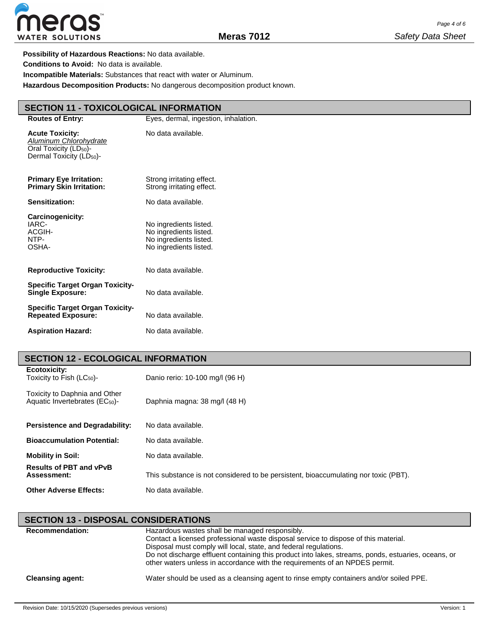

**Possibility of Hazardous Reactions:** No data available. **Conditions to Avoid:** No data is available. **Incompatible Materials:** Substances that react with water or Aluminum.

**Hazardous Decomposition Products:** No dangerous decomposition product known.

## **SECTION 11 - TOXICOLOGICAL INFORMATION**

| <b>Routes of Entry:</b>                                                                                                        | Eyes, dermal, ingestion, inhalation.                                                                 |
|--------------------------------------------------------------------------------------------------------------------------------|------------------------------------------------------------------------------------------------------|
| <b>Acute Toxicity:</b><br>Aluminum Chlorohydrate<br>Oral Toxicity (LD <sub>50</sub> )-<br>Dermal Toxicity (LD <sub>50</sub> )- | No data available.                                                                                   |
| <b>Primary Eye Irritation:</b><br><b>Primary Skin Irritation:</b>                                                              | Strong irritating effect.<br>Strong irritating effect.                                               |
| Sensitization:                                                                                                                 | No data available.                                                                                   |
| Carcinogenicity:<br>IARC-<br>ACGIH-<br>NTP-<br>OSHA-                                                                           | No ingredients listed.<br>No ingredients listed.<br>No ingredients listed.<br>No ingredients listed. |
| <b>Reproductive Toxicity:</b>                                                                                                  | No data available.                                                                                   |
| <b>Specific Target Organ Toxicity-</b><br><b>Single Exposure:</b>                                                              | No data available.                                                                                   |
| <b>Specific Target Organ Toxicity-</b><br><b>Repeated Exposure:</b>                                                            | No data available.                                                                                   |
| <b>Aspiration Hazard:</b>                                                                                                      | No data available.                                                                                   |

# **SECTION 12 - ECOLOGICAL INFORMATION**

| Ecotoxicity:<br>Toxicity to Fish $(LC_{50})$ -                              | Danio rerio: 10-100 mg/l (96 H)                                                     |
|-----------------------------------------------------------------------------|-------------------------------------------------------------------------------------|
| Toxicity to Daphnia and Other<br>Aquatic Invertebrates (EC <sub>50</sub> )- | Daphnia magna: 38 mg/l (48 H)                                                       |
| <b>Persistence and Degradability:</b>                                       | No data available.                                                                  |
| <b>Bioaccumulation Potential:</b>                                           | No data available.                                                                  |
| <b>Mobility in Soil:</b>                                                    | No data available.                                                                  |
| <b>Results of PBT and vPvB</b><br>Assessment:                               | This substance is not considered to be persistent, bioaccumulating nor toxic (PBT). |
| <b>Other Adverse Effects:</b>                                               | No data available.                                                                  |

## **SECTION 13 - DISPOSAL CONSIDERATIONS**

| <b>Recommendation:</b>  | Hazardous wastes shall be managed responsibly.<br>Contact a licensed professional waste disposal service to dispose of this material.<br>Disposal must comply will local, state, and federal regulations.<br>Do not discharge effluent containing this product into lakes, streams, ponds, estuaries, oceans, or<br>other waters unless in accordance with the requirements of an NPDES permit. |
|-------------------------|-------------------------------------------------------------------------------------------------------------------------------------------------------------------------------------------------------------------------------------------------------------------------------------------------------------------------------------------------------------------------------------------------|
| <b>Cleansing agent:</b> | Water should be used as a cleansing agent to rinse empty containers and/or soiled PPE.                                                                                                                                                                                                                                                                                                          |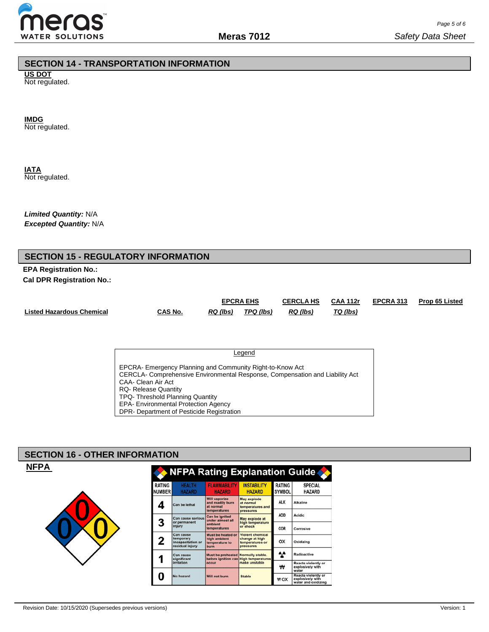

### **SECTION 14 - TRANSPORTATION INFORMATION**

**US DOT** Not regulated.

**IMDG**

Not regulated.

**IATA** Not regulated.

*Limited Quantity:* N/A *Excepted Quantity:* N/A

## **SECTION 15 - REGULATORY INFORMATION**

**EPA Registration No.: Cal DPR Registration No.:**

|                                  |         | <b>EPCRA EHS</b> |           | <b>CERCLA HS</b> | <b>CAA 112r</b> | EPCRA 313 | <b>Prop 65 Listed</b> |
|----------------------------------|---------|------------------|-----------|------------------|-----------------|-----------|-----------------------|
| <b>Listed Hazardous Chemical</b> | CAS No. | RQ (lbs)         | TPQ (lbs) | RQ (lbs)         | TQ (lbs)        |           |                       |

**Legend** EPCRA- Emergency Planning and Community Right-to-Know Act CERCLA- Comprehensive Environmental Response, Compensation and Liability Act CAA- Clean Air Act RQ- Release Quantity TPQ- Threshold Planning Quantity EPA- Environmental Protection Agency DPR- Department of Pesticide Registration